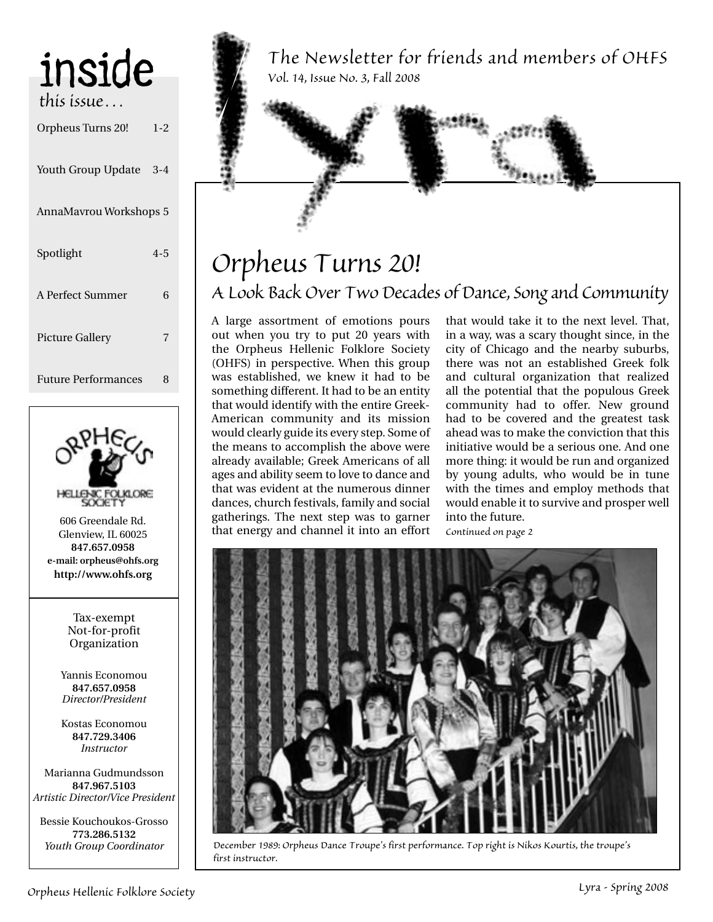| inside                     |         |
|----------------------------|---------|
| this issue…                |         |
| Orpheus Turns 20!          | $1 - 2$ |
| Youth Group Update 3-4     |         |
| AnnaMavrou Workshops 5     |         |
| Spotlight                  | $4 - 5$ |
| A Perfect Summer           | 6       |
| <b>Picture Gallery</b>     | 7       |
| <b>Future Performances</b> | 8       |



606 Greendale Rd. Glenview, IL 60025 **847.657.0958 e-mail: orpheus@ohfs.org http://www.ohfs.org**

> Tax-exempt Not-for-profit Organization

Yannis Economou **847.657.0958** *Director/President*

Kostas Economou **847.729.3406** *Instructor*

Marianna Gudmundsson **847.967.5103** *Artistic Director/Vice President*

Bessie Kouchoukos-Grosso **773.286.5132** *Youth Group Coordinator*

*The Newsletter for friends and members of OHFS Vol. 14, Issue No. 3, Fall 2008*

## *Orpheus Turns 20! A Look Back Over Two Decades of Dance, Song and Community*

A large assortment of emotions pours out when you try to put 20 years with the Orpheus Hellenic Folklore Society (OHFS) in perspective. When this group was established, we knew it had to be something different. It had to be an entity that would identify with the entire Greek-American community and its mission would clearly guide its every step. Some of the means to accomplish the above were already available; Greek Americans of all ages and ability seem to love to dance and that was evident at the numerous dinner dances, church festivals, family and social gatherings. The next step was to garner that energy and channel it into an effort that would take it to the next level. That, in a way, was a scary thought since, in the city of Chicago and the nearby suburbs, there was not an established Greek folk and cultural organization that realized all the potential that the populous Greek community had to offer. New ground had to be covered and the greatest task ahead was to make the conviction that this initiative would be a serious one. And one more thing: it would be run and organized by young adults, who would be in tune with the times and employ methods that would enable it to survive and prosper well into the future. *Continued on page 2*



*December 1989: Orpheus Dance Troupe's first performance. Top right is Nikos Kourtis, the troupe's first instructor.*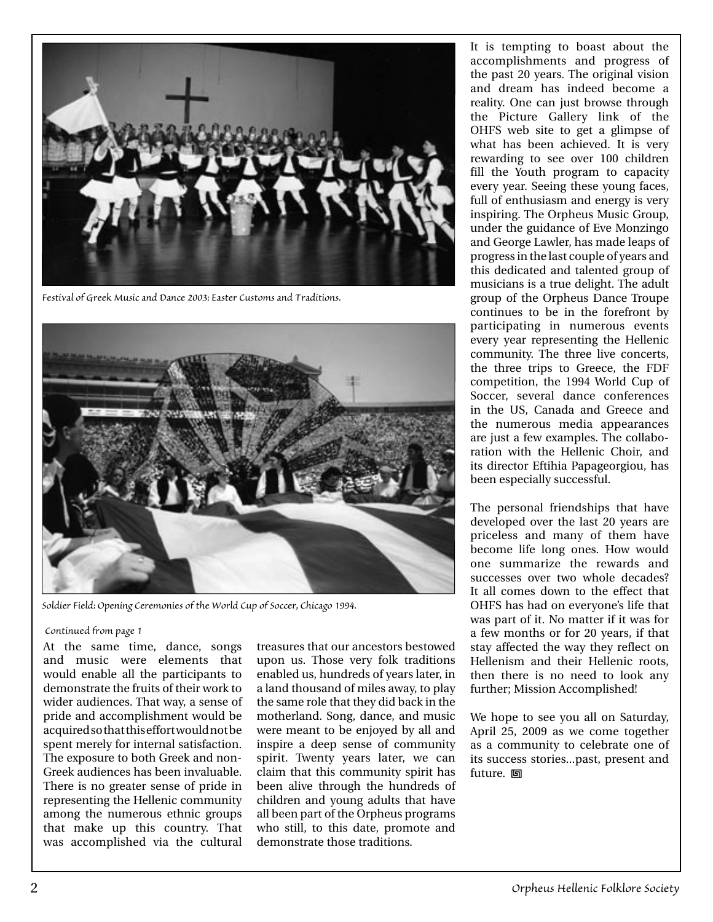

*Festival of Greek Music and Dance 2003: Easter Customs and Traditions.*



*Soldier Field: Opening Ceremonies of the World Cup of Soccer, Chicago 1994.*

#### *Continued from page 1*

At the same time, dance, songs and music were elements that would enable all the participants to demonstrate the fruits of their work to wider audiences. That way, a sense of pride and accomplishment would be acquired so that this effort would not be spent merely for internal satisfaction. The exposure to both Greek and non-Greek audiences has been invaluable. There is no greater sense of pride in representing the Hellenic community among the numerous ethnic groups that make up this country. That was accomplished via the cultural

treasures that our ancestors bestowed upon us. Those very folk traditions enabled us, hundreds of years later, in a land thousand of miles away, to play the same role that they did back in the motherland. Song, dance, and music were meant to be enjoyed by all and inspire a deep sense of community spirit. Twenty years later, we can claim that this community spirit has been alive through the hundreds of children and young adults that have all been part of the Orpheus programs who still, to this date, promote and demonstrate those traditions.

It is tempting to boast about the accomplishments and progress of the past 20 years. The original vision and dream has indeed become a reality. One can just browse through the Picture Gallery link of the OHFS web site to get a glimpse of what has been achieved. It is very rewarding to see over 100 children fill the Youth program to capacity every year. Seeing these young faces, full of enthusiasm and energy is very inspiring. The Orpheus Music Group, under the guidance of Eve Monzingo and George Lawler, has made leaps of progress in the last couple of years and this dedicated and talented group of musicians is a true delight. The adult group of the Orpheus Dance Troupe continues to be in the forefront by participating in numerous events every year representing the Hellenic community. The three live concerts, the three trips to Greece, the FDF competition, the 1994 World Cup of Soccer, several dance conferences in the US, Canada and Greece and the numerous media appearances are just a few examples. The collaboration with the Hellenic Choir, and its director Eftihia Papageorgiou, has been especially successful.

The personal friendships that have developed over the last 20 years are priceless and many of them have become life long ones. How would one summarize the rewards and successes over two whole decades? It all comes down to the effect that OHFS has had on everyone's life that was part of it. No matter if it was for a few months or for 20 years, if that stay affected the way they reflect on Hellenism and their Hellenic roots, then there is no need to look any further; Mission Accomplished!

We hope to see you all on Saturday, April 25, 2009 as we come together as a community to celebrate one of its success stories...past, present and future. **回**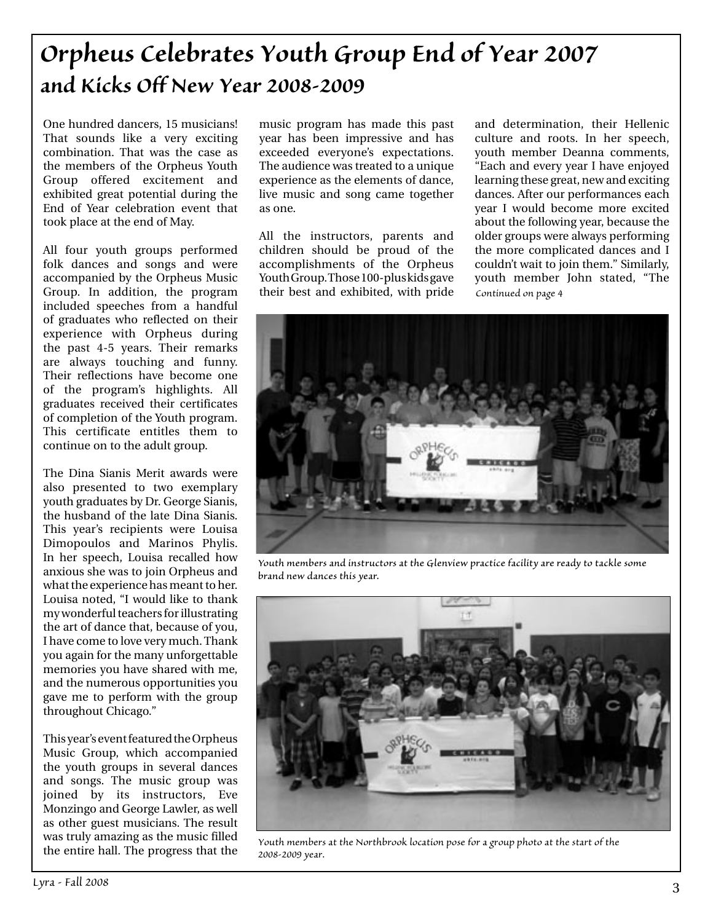## *Orpheus Celebrates Youth Group End of Year 2007 and Kicks Off New Year 2008-2009*

One hundred dancers, 15 musicians! That sounds like a very exciting combination. That was the case as the members of the Orpheus Youth Group offered excitement and exhibited great potential during the End of Year celebration event that took place at the end of May.

All four youth groups performed folk dances and songs and were accompanied by the Orpheus Music Group. In addition, the program included speeches from a handful of graduates who reflected on their experience with Orpheus during the past 4-5 years. Their remarks are always touching and funny. Their reflections have become one of the program's highlights. All graduates received their certificates of completion of the Youth program. This certificate entitles them to continue on to the adult group.

The Dina Sianis Merit awards were also presented to two exemplary youth graduates by Dr. George Sianis, the husband of the late Dina Sianis. This year's recipients were Louisa Dimopoulos and Marinos Phylis. In her speech, Louisa recalled how anxious she was to join Orpheus and what the experience has meant to her. Louisa noted, "I would like to thank my wonderful teachers for illustrating the art of dance that, because of you, I have come to love very much. Thank you again for the many unforgettable memories you have shared with me, and the numerous opportunities you gave me to perform with the group throughout Chicago."

This year's event featured the Orpheus Music Group, which accompanied the youth groups in several dances and songs. The music group was joined by its instructors, Eve Monzingo and George Lawler, as well as other guest musicians. The result was truly amazing as the music filled the entire hall. The progress that the

music program has made this past year has been impressive and has exceeded everyone's expectations. The audience was treated to a unique experience as the elements of dance, live music and song came together as one.

All the instructors, parents and children should be proud of the accomplishments of the Orpheus Youth Group. Those 100-plus kids gave their best and exhibited, with pride

and determination, their Hellenic culture and roots. In her speech, youth member Deanna comments, "Each and every year I have enjoyed learning these great, new and exciting dances. After our performances each year I would become more excited about the following year, because the older groups were always performing the more complicated dances and I couldn't wait to join them." Similarly, youth member John stated, "The *Continued on page 4*



*Youth members and instructors at the Glenview practice facility are ready to tackle some brand new dances this year.*



*Youth members at the Northbrook location pose for a group photo at the start of the 2008-2009 year.*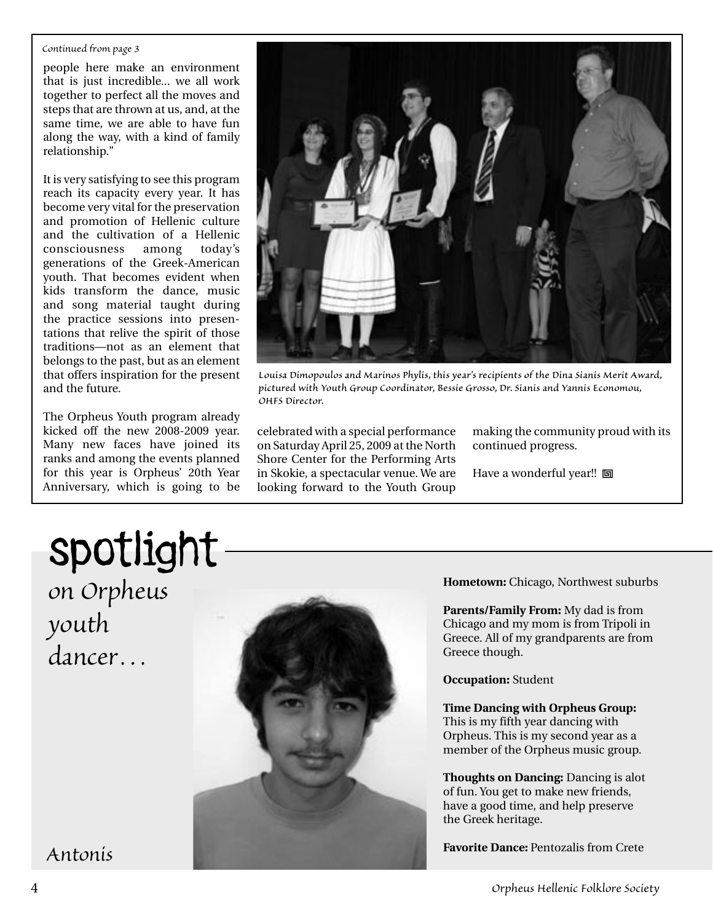#### *Continued from page 3*

people here make an environment that is just incredible... we all work together to perfect all the moves and steps that are thrown at us, and, at the same time, we are able to have fun along the way, with a kind of family relationship."

It is very satisfying to see this program reach its capacity every year. It has become very vital for the preservation and promotion of Hellenic culture and the cultivation of a Hellenic consciousness among today's generations of the Greek-American youth. That becomes evident when kids transform the dance, music and song material taught during the practice sessions into presentations that relive the spirit of those traditions—not as an element that belongs to the past, but as an element that offers inspiration for the present and the future.

The Orpheus Youth program already kicked off the new 2008-2009 year. Many new faces have joined its ranks and among the events planned for this year is Orpheus' 20th Year Anniversary, which is going to be



*Louisa Dimopoulos and Marinos Phylis, this year's recipients of the Dina Sianis Merit Award, pictured with Youth Group Coordinator, Bessie Grosso, Dr. Sianis and Yannis Economou, OHFS Director.*

celebrated with a special performance on Saturday April 25, 2009 at the North Shore Center for the Performing Arts in Skokie, a spectacular venue. We are looking forward to the Youth Group making the community proud with its continued progress.

Have a wonderful year!! **回** 

# spotlight

*on Orpheus youth dancer…*



**Hometown:** Chicago, Northwest suburbs

**Parents/Family From:** My dad is from Chicago and my mom is from Tripoli in Greece. All of my grandparents are from Greece though.

**Occupation:** Student

**Time Dancing with Orpheus Group:**  This is my fifth year dancing with Orpheus. This is my second year as a member of the Orpheus music group.

**Thoughts on Dancing:** Dancing is alot of fun. You get to make new friends, have a good time, and help preserve the Greek heritage.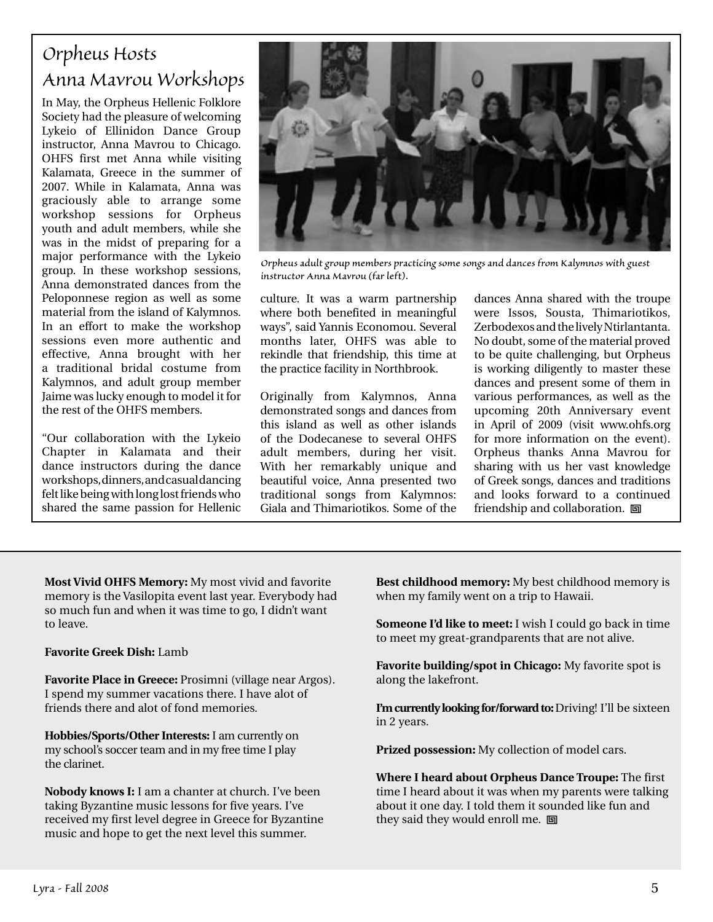### *Orpheus Hosts Anna Mavrou Workshops*

In May, the Orpheus Hellenic Folklore Society had the pleasure of welcoming Lykeio of Ellinidon Dance Group instructor, Anna Mavrou to Chicago. OHFS first met Anna while visiting Kalamata, Greece in the summer of 2007. While in Kalamata, Anna was graciously able to arrange some workshop sessions for Orpheus youth and adult members, while she was in the midst of preparing for a major performance with the Lykeio group. In these workshop sessions, Anna demonstrated dances from the Peloponnese region as well as some material from the island of Kalymnos. In an effort to make the workshop sessions even more authentic and effective, Anna brought with her a traditional bridal costume from Kalymnos, and adult group member Jaime was lucky enough to model it for the rest of the OHFS members.

"Our collaboration with the Lykeio Chapter in Kalamata and their dance instructors during the dance workshops, dinners, and casual dancing felt like being with long lost friends who shared the same passion for Hellenic



*Orpheus adult group members practicing some songs and dances from Kalymnos with guest instructor Anna Mavrou (far left).* 

culture. It was a warm partnership where both benefited in meaningful ways", said Yannis Economou. Several months later, OHFS was able to rekindle that friendship, this time at the practice facility in Northbrook.

Originally from Kalymnos, Anna demonstrated songs and dances from this island as well as other islands of the Dodecanese to several OHFS adult members, during her visit. With her remarkably unique and beautiful voice, Anna presented two traditional songs from Kalymnos: Giala and Thimariotikos. Some of the

dances Anna shared with the troupe were Issos, Sousta, Thimariotikos, Zerbodexos and the lively Ntirlantanta. No doubt, some of the material proved to be quite challenging, but Orpheus is working diligently to master these dances and present some of them in various performances, as well as the upcoming 20th Anniversary event in April of 2009 (visit www.ohfs.org for more information on the event). Orpheus thanks Anna Mavrou for sharing with us her vast knowledge of Greek songs, dances and traditions and looks forward to a continued friendship and collaboration. 回

**Most Vivid OHFS Memory:** My most vivid and favorite memory is the Vasilopita event last year. Everybody had so much fun and when it was time to go, I didn't want to leave.

#### **Favorite Greek Dish:** Lamb

**Favorite Place in Greece:** Prosimni (village near Argos). I spend my summer vacations there. I have alot of friends there and alot of fond memories.

**Hobbies/Sports/Other Interests:** I am currently on my school's soccer team and in my free time I play the clarinet.

**Nobody knows I:** I am a chanter at church. I've been taking Byzantine music lessons for five years. I've received my first level degree in Greece for Byzantine music and hope to get the next level this summer.

**Best childhood memory:** My best childhood memory is when my family went on a trip to Hawaii.

**Someone I'd like to meet:** I wish I could go back in time to meet my great-grandparents that are not alive.

**Favorite building/spot in Chicago:** My favorite spot is along the lakefront.

**I'm currently looking for/forward to:** Driving! I'll be sixteen in 2 years.

**Prized possession:** My collection of model cars.

**Where I heard about Orpheus Dance Troupe:** The first time I heard about it was when my parents were talking about it one day. I told them it sounded like fun and they said they would enroll me.  $\Box$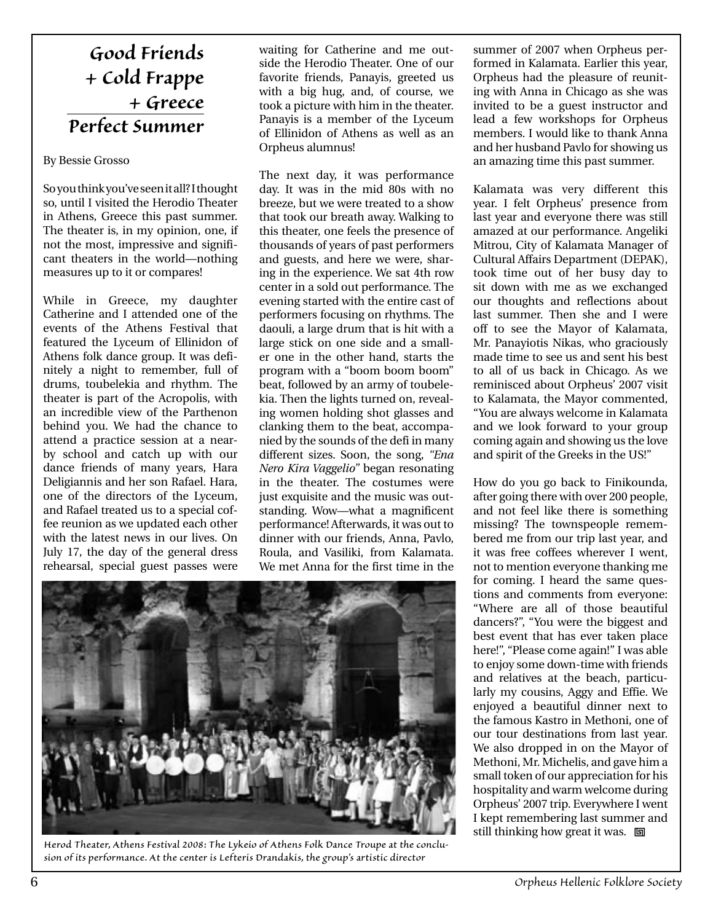## *Good Friends + Cold Frappe + Greece Perfect Summer*

By Bessie Grosso

So you think you've seen it all? I thought so, until I visited the Herodio Theater in Athens, Greece this past summer. The theater is, in my opinion, one, if not the most, impressive and significant theaters in the world—nothing measures up to it or compares!

While in Greece, my daughter Catherine and I attended one of the events of the Athens Festival that featured the Lyceum of Ellinidon of Athens folk dance group. It was definitely a night to remember, full of drums, toubelekia and rhythm. The theater is part of the Acropolis, with an incredible view of the Parthenon behind you. We had the chance to attend a practice session at a nearby school and catch up with our dance friends of many years, Hara Deligiannis and her son Rafael. Hara, one of the directors of the Lyceum, and Rafael treated us to a special coffee reunion as we updated each other with the latest news in our lives. On July 17, the day of the general dress rehearsal, special guest passes were

waiting for Catherine and me outside the Herodio Theater. One of our favorite friends, Panayis, greeted us with a big hug, and, of course, we took a picture with him in the theater. Panayis is a member of the Lyceum of Ellinidon of Athens as well as an Orpheus alumnus!

The next day, it was performance day. It was in the mid 80s with no breeze, but we were treated to a show that took our breath away. Walking to this theater, one feels the presence of thousands of years of past performers and guests, and here we were, sharing in the experience. We sat 4th row center in a sold out performance. The evening started with the entire cast of performers focusing on rhythms. The daouli, a large drum that is hit with a large stick on one side and a smaller one in the other hand, starts the program with a "boom boom boom" beat, followed by an army of toubelekia. Then the lights turned on, revealing women holding shot glasses and clanking them to the beat, accompanied by the sounds of the defi in many different sizes. Soon, the song, *"Ena Nero Kira Vaggelio"* began resonating in the theater. The costumes were just exquisite and the music was outstanding. Wow—what a magnificent performance! Afterwards, it was out to dinner with our friends, Anna, Pavlo, Roula, and Vasiliki, from Kalamata. We met Anna for the first time in the



*Herod Theater, Athens Festival 2008: The Lykeio of Athens Folk Dance Troupe at the conclusion of its performance. At the center is Lefteris Drandakis, the group's artistic director*

summer of 2007 when Orpheus performed in Kalamata. Earlier this year, Orpheus had the pleasure of reuniting with Anna in Chicago as she was invited to be a guest instructor and lead a few workshops for Orpheus members. I would like to thank Anna and her husband Pavlo for showing us an amazing time this past summer.

Kalamata was very different this year. I felt Orpheus' presence from last year and everyone there was still amazed at our performance. Angeliki Mitrou, City of Kalamata Manager of Cultural Affairs Department (DEPAK), took time out of her busy day to sit down with me as we exchanged our thoughts and reflections about last summer. Then she and I were off to see the Mayor of Kalamata, Mr. Panayiotis Nikas, who graciously made time to see us and sent his best to all of us back in Chicago. As we reminisced about Orpheus' 2007 visit to Kalamata, the Mayor commented, "You are always welcome in Kalamata and we look forward to your group coming again and showing us the love and spirit of the Greeks in the US!"

How do you go back to Finikounda, after going there with over 200 people, and not feel like there is something missing? The townspeople remembered me from our trip last year, and it was free coffees wherever I went, not to mention everyone thanking me for coming. I heard the same questions and comments from everyone: "Where are all of those beautiful dancers?", "You were the biggest and best event that has ever taken place here!", "Please come again!" I was able to enjoy some down-time with friends and relatives at the beach, particularly my cousins, Aggy and Effie. We enjoyed a beautiful dinner next to the famous Kastro in Methoni, one of our tour destinations from last year. We also dropped in on the Mayor of Methoni, Mr. Michelis, and gave him a small token of our appreciation for his hospitality and warm welcome during Orpheus' 2007 trip. Everywhere I went I kept remembering last summer and still thinking how great it was.  $\Box$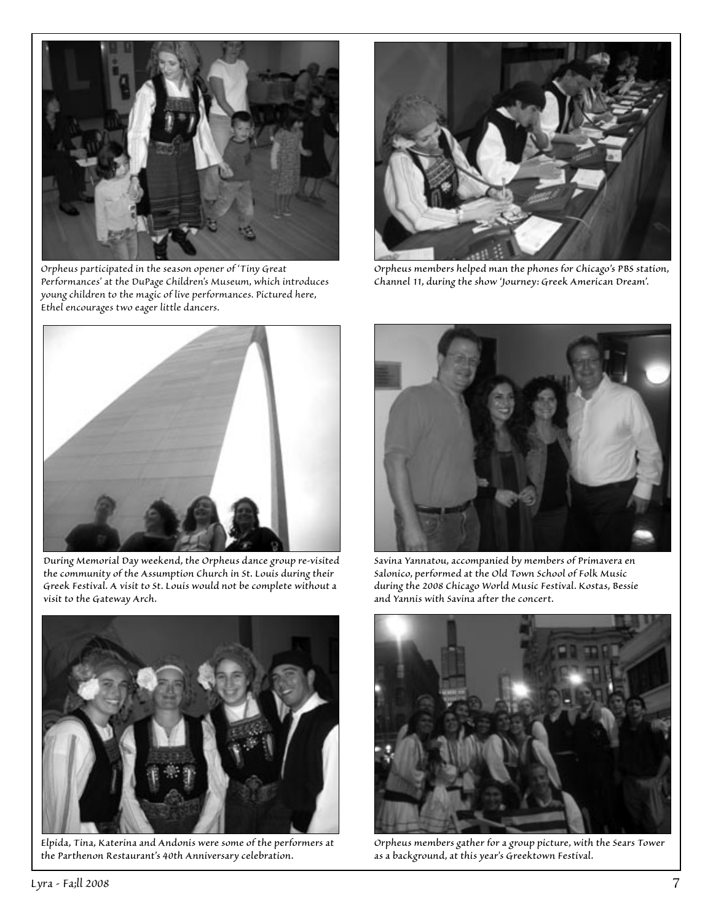

*Orpheus participated in the season opener of 'Tiny Great Performances' at the DuPage Children's Museum, which introduces young children to the magic of live performances. Pictured here, Ethel encourages two eager little dancers.*



*Orpheus members helped man the phones for Chicago's PBS station, Channel 11, during the show 'Journey: Greek American Dream'.*



*During Memorial Day weekend, the Orpheus dance group re-visited the community of the Assumption Church in St. Louis during their Greek Festival. A visit to St. Louis would not be complete without a visit to the Gateway Arch.*



*Savina Yannatou, accompanied by members of Primavera en Salonico, performed at the Old Town School of Folk Music during the 2008 Chicago World Music Festival. Kostas, Bessie and Yannis with Savina after the concert.*



*Elpida, Tina, Katerina and Andonis were some of the performers at the Parthenon Restaurant's 40th Anniversary celebration.*



*Orpheus members gather for a group picture, with the Sears Tower as a background, at this year's Greektown Festival.*